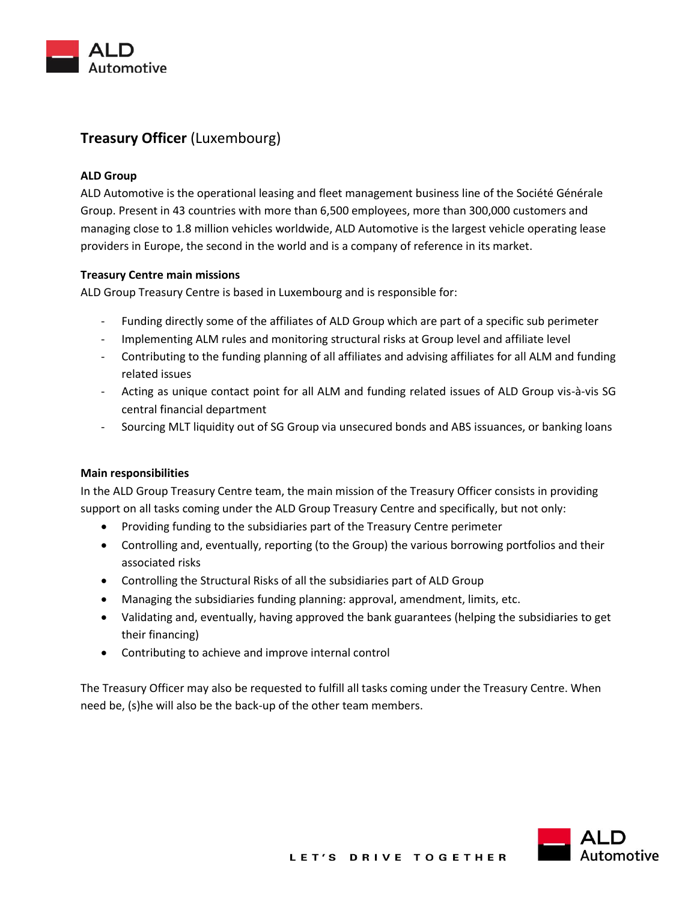

# **Treasury Officer** (Luxembourg)

## **ALD Group**

ALD Automotive is the operational leasing and fleet management business line of the Société Générale Group. Present in 43 countries with more than 6,500 employees, more than 300,000 customers and managing close to 1.8 million vehicles worldwide, ALD Automotive is the largest vehicle operating lease providers in Europe, the second in the world and is a company of reference in its market.

## **Treasury Centre main missions**

ALD Group Treasury Centre is based in Luxembourg and is responsible for:

- Funding directly some of the affiliates of ALD Group which are part of a specific sub perimeter
- Implementing ALM rules and monitoring structural risks at Group level and affiliate level
- Contributing to the funding planning of all affiliates and advising affiliates for all ALM and funding related issues
- Acting as unique contact point for all ALM and funding related issues of ALD Group vis-à-vis SG central financial department
- Sourcing MLT liquidity out of SG Group via unsecured bonds and ABS issuances, or banking loans

#### **Main responsibilities**

In the ALD Group Treasury Centre team, the main mission of the Treasury Officer consists in providing support on all tasks coming under the ALD Group Treasury Centre and specifically, but not only:

- Providing funding to the subsidiaries part of the Treasury Centre perimeter
- Controlling and, eventually, reporting (to the Group) the various borrowing portfolios and their associated risks
- Controlling the Structural Risks of all the subsidiaries part of ALD Group
- Managing the subsidiaries funding planning: approval, amendment, limits, etc.
- Validating and, eventually, having approved the bank guarantees (helping the subsidiaries to get their financing)
- Contributing to achieve and improve internal control

The Treasury Officer may also be requested to fulfill all tasks coming under the Treasury Centre. When need be, (s)he will also be the back-up of the other team members.